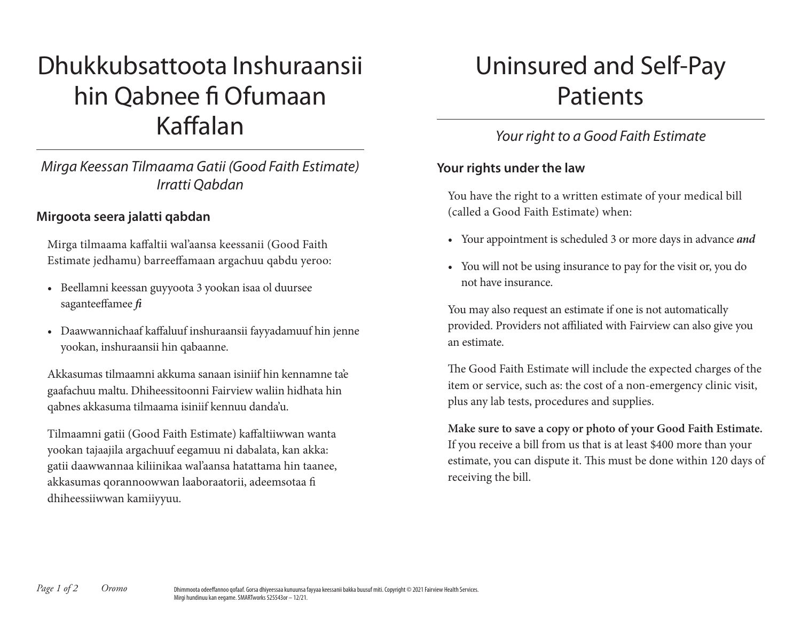# Dhukkubsattoota Inshuraansii hin Qabnee fi Ofumaan Kaffalan

## *Mirga Keessan Tilmaama Gatii (Good Faith Estimate) Irratti Qabdan*

#### **Mirgoota seera jalatti qabdan**

Mirga tilmaama kaffaltii wal'aansa keessanii (Good Faith Estimate jedhamu) barreeffamaan argachuu qabdu yeroo:

- Beellamni keessan guyyoota 3 yookan isaa ol duursee saganteeffamee *fi*
- Daawwannichaaf kaffaluuf inshuraansii fayyadamuuf hin jenne yookan, inshuraansii hin qabaanne.

Akkasumas tilmaamni akkuma sanaan isiniif hin kennamne ta'e gaafachuu maltu. Dhiheessitoonni Fairview waliin hidhata hin qabnes akkasuma tilmaama isiniif kennuu danda'u.

Tilmaamni gatii (Good Faith Estimate) kaffaltiiwwan wanta yookan tajaajila argachuuf eegamuu ni dabalata, kan akka: gatii daawwannaa kiliinikaa wal'aansa hatattama hin taanee, akkasumas qorannoowwan laaboraatorii, adeemsotaa fi dhiheessiiwwan kamiiyyuu.

## Uninsured and Self-Pay Patients

## *Your right to a Good Faith Estimate*

#### **Your rights under the law**

You have the right to a written estimate of your medical bill (called a Good Faith Estimate) when:

- Your appointment is scheduled 3 or more days in advance *and*
- You will not be using insurance to pay for the visit or, you do not have insurance.

You may also request an estimate if one is not automatically provided. Providers not affiliated with Fairview can also give you an estimate.

The Good Faith Estimate will include the expected charges of the item or service, such as: the cost of a non-emergency clinic visit, plus any lab tests, procedures and supplies.

**Make sure to save a copy or photo of your Good Faith Estimate.** If you receive a bill from us that is at least \$400 more than your estimate, you can dispute it. This must be done within 120 days of receiving the bill.